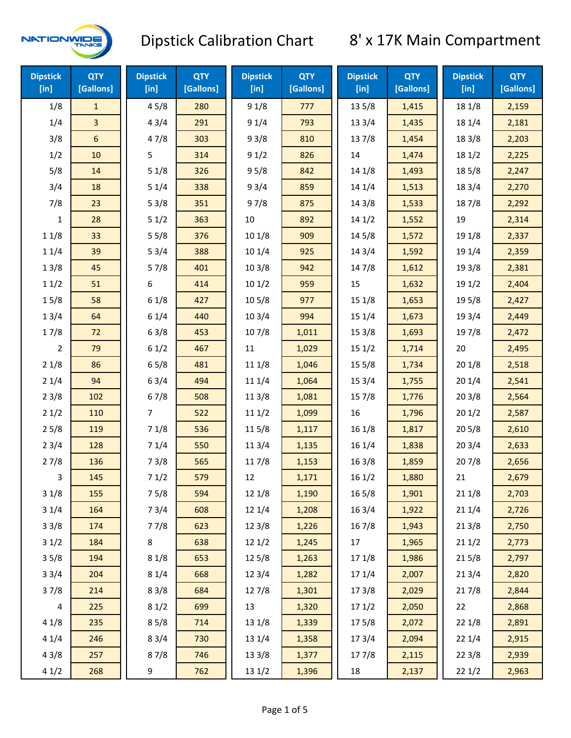

| <b>Dipstick</b><br>$[$ in] | <b>QTY</b><br>[Gallons] | <b>Dipstick</b><br>[in] | <b>QTY</b><br>[Gallons] | <b>Dipstick</b><br>[in] | <b>QTY</b><br>[Gallons] | <b>Dipstick</b><br>[in] | <b>QTY</b><br>[Gallons] | <b>Dipstick</b><br>$[$ in] | <b>QTY</b><br>[Gallons] |
|----------------------------|-------------------------|-------------------------|-------------------------|-------------------------|-------------------------|-------------------------|-------------------------|----------------------------|-------------------------|
| 1/8                        | $\mathbf{1}$            | 45/8                    | 280                     | 91/8                    | 777                     | 13 5/8                  | 1,415                   | 18 1/8                     | 2,159                   |
| 1/4                        | 3                       | 43/4                    | 291                     | 91/4                    | 793                     | 13 3/4                  | 1,435                   | 18 1/4                     | 2,181                   |
| 3/8                        | 6                       | 47/8                    | 303                     | 93/8                    | 810                     | 137/8                   | 1,454                   | 18 3/8                     | 2,203                   |
| 1/2                        | 10                      | 5                       | 314                     | 91/2                    | 826                     | 14                      | 1,474                   | 18 1/2                     | 2,225                   |
| 5/8                        | 14                      | 51/8                    | 326                     | 95/8                    | 842                     | 14 1/8                  | 1,493                   | 185/8                      | 2,247                   |
| 3/4                        | 18                      | 51/4                    | 338                     | 93/4                    | 859                     | 14 1/4                  | 1,513                   | 18 3/4                     | 2,270                   |
| 7/8                        | 23                      | 53/8                    | 351                     | 97/8                    | 875                     | 14 3/8                  | 1,533                   | 187/8                      | 2,292                   |
| 1                          | 28                      | 51/2                    | 363                     | 10                      | 892                     | 141/2                   | 1,552                   | 19                         | 2,314                   |
| 11/8                       | 33                      | 55/8                    | 376                     | 10 1/8                  | 909                     | 14 5/8                  | 1,572                   | 19 1/8                     | 2,337                   |
| 11/4                       | 39                      | 53/4                    | 388                     | 10 1/4                  | 925                     | 143/4                   | 1,592                   | 19 1/4                     | 2,359                   |
| 13/8                       | 45                      | 57/8                    | 401                     | 103/8                   | 942                     | 147/8                   | 1,612                   | 19 3/8                     | 2,381                   |
| 11/2                       | 51                      | 6                       | 414                     | 101/2                   | 959                     | 15                      | 1,632                   | 19 1/2                     | 2,404                   |
| 15/8                       | 58                      | 61/8                    | 427                     | 10 <sub>5</sub> /8      | 977                     | 151/8                   | 1,653                   | 19 5/8                     | 2,427                   |
| 13/4                       | 64                      | 61/4                    | 440                     | 103/4                   | 994                     | 151/4                   | 1,673                   | 19 3/4                     | 2,449                   |
| 17/8                       | 72                      | 63/8                    | 453                     | 107/8                   | 1,011                   | 153/8                   | 1,693                   | 197/8                      | 2,472                   |
| $\overline{2}$             | 79                      | 61/2                    | 467                     | $11\,$                  | 1,029                   | 151/2                   | 1,714                   | 20                         | 2,495                   |
| 21/8                       | 86                      | 65/8                    | 481                     | 11 1/8                  | 1,046                   | 15 5/8                  | 1,734                   | 201/8                      | 2,518                   |
| 21/4                       | 94                      | 63/4                    | 494                     | 11 1/4                  | 1,064                   | 15 3/4                  | 1,755                   | 201/4                      | 2,541                   |
| 23/8                       | 102                     | 67/8                    | 508                     | 11 3/8                  | 1,081                   | 15 7/8                  | 1,776                   | 203/8                      | 2,564                   |
| 21/2                       | 110                     | 7                       | 522                     | 111/2                   | 1,099                   | 16                      | 1,796                   | 201/2                      | 2,587                   |
| 25/8                       | 119                     | 71/8                    | 536                     | 115/8                   | 1,117                   | 16 1/8                  | 1,817                   | 205/8                      | 2,610                   |
| 23/4                       | 128                     | 71/4                    | 550                     | 11 3/4                  | 1,135                   | 16 1/4                  | 1,838                   | 203/4                      | 2,633                   |
| 27/8                       | 136                     | 73/8                    | 565                     | 117/8                   | 1,153                   | 163/8                   | 1,859                   | 207/8                      | 2,656                   |
| 3                          | 145                     | 71/2                    | 579                     | 12                      | 1,171                   | 161/2                   | 1,880                   | 21                         | 2,679                   |
| 31/8                       | 155                     | 75/8                    | 594                     | 12 1/8                  | 1,190                   | $16\,5/8$               | 1,901                   | 211/8                      | 2,703                   |
| 31/4                       | 164                     | 73/4                    | 608                     | 12 1/4                  | 1,208                   | 16 3/4                  | 1,922                   | 211/4                      | 2,726                   |
| 33/8                       | 174                     | 77/8                    | 623                     | 12 3/8                  | 1,226                   | 16 7/8                  | 1,943                   | 213/8                      | 2,750                   |
| 31/2                       | 184                     | 8                       | 638                     | 121/2                   | 1,245                   | 17                      | 1,965                   | 211/2                      | 2,773                   |
| 35/8                       | 194                     | 81/8                    | 653                     | 12 5/8                  | 1,263                   | 17 1/8                  | 1,986                   | 215/8                      | 2,797                   |
| 33/4                       | 204                     | 81/4                    | 668                     | 123/4                   | 1,282                   | 17 1/4                  | 2,007                   | 213/4                      | 2,820                   |
| 37/8                       | 214                     | 83/8                    | 684                     | 12 7/8                  | 1,301                   | 173/8                   | 2,029                   | 217/8                      | 2,844                   |
| 4                          | 225                     | 81/2                    | 699                     | 13                      | 1,320                   | 171/2                   | 2,050                   | 22                         | 2,868                   |
| 41/8                       | 235                     | 85/8                    | 714                     | 13 1/8                  | 1,339                   | 175/8                   | 2,072                   | 22 1/8                     | 2,891                   |
| 41/4                       | 246                     | 83/4                    | 730                     | 13 1/4                  | 1,358                   | 173/4                   | 2,094                   | 221/4                      | 2,915                   |
| 43/8                       | 257                     | 87/8                    | 746                     | 13 3/8                  | 1,377                   | 177/8                   | 2,115                   | 223/8                      | 2,939                   |
| 41/2                       | 268                     | 9                       | 762                     | 13 1/2                  | 1,396                   | 18                      | 2,137                   | 221/2                      | 2,963                   |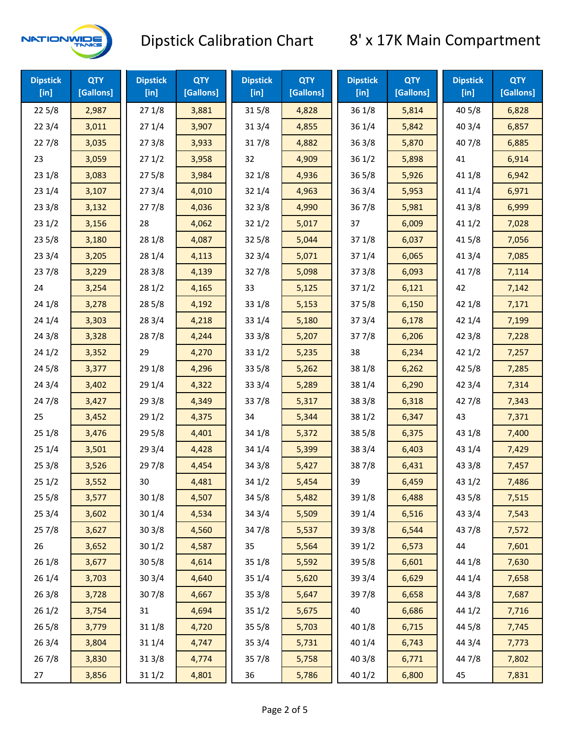

| <b>Dipstick</b><br>[in] | <b>QTY</b><br>[Gallons] | <b>Dipstick</b><br>$[$ in] | <b>QTY</b><br>[Gallons] | <b>Dipstick</b><br>$[$ in] | <b>QTY</b><br>[Gallons] | <b>Dipstick</b><br>$[$ in] | <b>QTY</b><br>[Gallons] | <b>Dipstick</b><br>$[$ in] | <b>QTY</b><br>[Gallons] |
|-------------------------|-------------------------|----------------------------|-------------------------|----------------------------|-------------------------|----------------------------|-------------------------|----------------------------|-------------------------|
| 225/8                   | 2,987                   | 271/8                      | 3,881                   | 315/8                      | 4,828                   | 36 1/8                     | 5,814                   | 40 5/8                     | 6,828                   |
| 223/4                   | 3,011                   | 271/4                      | 3,907                   | 31 3/4                     | 4,855                   | 36 1/4                     | 5,842                   | 40 3/4                     | 6,857                   |
| 227/8                   | 3,035                   | 273/8                      | 3,933                   | 317/8                      | 4,882                   | 363/8                      | 5,870                   | 407/8                      | 6,885                   |
| 23                      | 3,059                   | 271/2                      | 3,958                   | 32                         | 4,909                   | 361/2                      | 5,898                   | 41                         | 6,914                   |
| 231/8                   | 3,083                   | 275/8                      | 3,984                   | 32 1/8                     | 4,936                   | $36\,5/8$                  | 5,926                   | 41 1/8                     | 6,942                   |
| 231/4                   | 3,107                   | 273/4                      | 4,010                   | 321/4                      | 4,963                   | 363/4                      | 5,953                   | 41 1/4                     | 6,971                   |
| 233/8                   | 3,132                   | 277/8                      | 4,036                   | 323/8                      | 4,990                   | 36 7/8                     | 5,981                   | 41 3/8                     | 6,999                   |
| 231/2                   | 3,156                   | 28                         | 4,062                   | 321/2                      | 5,017                   | 37                         | 6,009                   | 411/2                      | 7,028                   |
| 235/8                   | 3,180                   | 28 1/8                     | 4,087                   | 325/8                      | 5,044                   | 371/8                      | 6,037                   | 41 5/8                     | 7,056                   |
| 233/4                   | 3,205                   | 28 1/4                     | 4,113                   | 32 3/4                     | 5,071                   | 37 1/4                     | 6,065                   | 41 3/4                     | 7,085                   |
| 237/8                   | 3,229                   | 28 3/8                     | 4,139                   | 327/8                      | 5,098                   | 373/8                      | 6,093                   | 417/8                      | 7,114                   |
| 24                      | 3,254                   | 281/2                      | 4,165                   | 33                         | 5,125                   | 371/2                      | 6,121                   | 42                         | 7,142                   |
| 24 1/8                  | 3,278                   | 28 5/8                     | 4,192                   | 33 1/8                     | 5,153                   | 375/8                      | 6,150                   | 42 1/8                     | 7,171                   |
| 241/4                   | 3,303                   | 28 3/4                     | 4,218                   | 33 1/4                     | 5,180                   | 373/4                      | 6,178                   | 42 1/4                     | 7,199                   |
| 243/8                   | 3,328                   | 287/8                      | 4,244                   | 33 3/8                     | 5,207                   | 377/8                      | 6,206                   | 42 3/8                     | 7,228                   |
| 241/2                   | 3,352                   | 29                         | 4,270                   | 331/2                      | 5,235                   | 38                         | 6,234                   | 421/2                      | 7,257                   |
| 245/8                   | 3,377                   | 29 1/8                     | 4,296                   | 33 5/8                     | 5,262                   | 38 1/8                     | 6,262                   | 42 5/8                     | 7,285                   |
| 243/4                   | 3,402                   | 29 1/4                     | 4,322                   | 33 3/4                     | 5,289                   | 38 1/4                     | 6,290                   | 42 3/4                     | 7,314                   |
| 24 7/8                  | 3,427                   | 29 3/8                     | 4,349                   | 337/8                      | 5,317                   | 38 3/8                     | 6,318                   | 42 7/8                     | 7,343                   |
| 25                      | 3,452                   | 29 1/2                     | 4,375                   | 34                         | 5,344                   | 38 1/2                     | 6,347                   | 43                         | 7,371                   |
| 251/8                   | 3,476                   | 29 5/8                     | 4,401                   | 34 1/8                     | 5,372                   | 38 5/8                     | 6,375                   | 43 1/8                     | 7,400                   |
| 251/4                   | 3,501                   | 29 3/4                     | 4,428                   | 34 1/4                     | 5,399                   | 38 3/4                     | 6,403                   | 43 1/4                     | 7,429                   |
| 253/8                   | 3,526                   | 297/8                      | 4,454                   | 34 3/8                     | 5,427                   | 387/8                      | 6,431                   | 43 3/8                     | 7,457                   |
| 251/2                   | 3,552                   | 30                         | 4,481                   | 341/2                      | 5,454                   | 39                         | 6,459                   | 431/2                      | 7,486                   |
| 255/8                   | 3,577                   | 30 1/8                     | 4,507                   | 34 5/8                     | 5,482                   | 39 1/8                     | 6,488                   | 43 5/8                     | 7,515                   |
| 253/4                   | 3,602                   | 30 1/4                     | 4,534                   | 34 3/4                     | 5,509                   | 39 1/4                     | 6,516                   | 43 3/4                     | 7,543                   |
| 257/8                   | 3,627                   | 303/8                      | 4,560                   | 347/8                      | 5,537                   | 39 3/8                     | 6,544                   | 437/8                      | 7,572                   |
| 26                      | 3,652                   | 301/2                      | 4,587                   | 35                         | 5,564                   | 39 1/2                     | 6,573                   | 44                         | 7,601                   |
| 26 1/8                  | 3,677                   | 305/8                      | 4,614                   | 35 1/8                     | 5,592                   | 39 5/8                     | 6,601                   | 44 1/8                     | 7,630                   |
| 26 1/4                  | 3,703                   | 30 3/4                     | 4,640                   | 35 1/4                     | 5,620                   | 39 3/4                     | 6,629                   | 44 1/4                     | 7,658                   |
| 263/8                   | 3,728                   | 307/8                      | 4,667                   | 35 3/8                     | 5,647                   | 397/8                      | 6,658                   | 44 3/8                     | 7,687                   |
| 261/2                   | 3,754                   | 31                         | 4,694                   | 351/2                      | 5,675                   | 40                         | 6,686                   | 44 1/2                     | 7,716                   |
| 26 5/8                  | 3,779                   | 31 1/8                     | 4,720                   | 35 5/8                     | 5,703                   | 40 1/8                     | 6,715                   | 44 5/8                     | 7,745                   |
| 263/4                   | 3,804                   | 31 1/4                     | 4,747                   | 35 3/4                     | 5,731                   | 40 1/4                     | 6,743                   | 44 3/4                     | 7,773                   |
| 267/8                   | 3,830                   | 31 3/8                     | 4,774                   | 357/8                      | 5,758                   | 40 3/8                     | 6,771                   | 447/8                      | 7,802                   |
| 27                      | 3,856                   | 31 1/2                     | 4,801                   | 36                         | 5,786                   | 40 1/2                     | 6,800                   | 45                         | 7,831                   |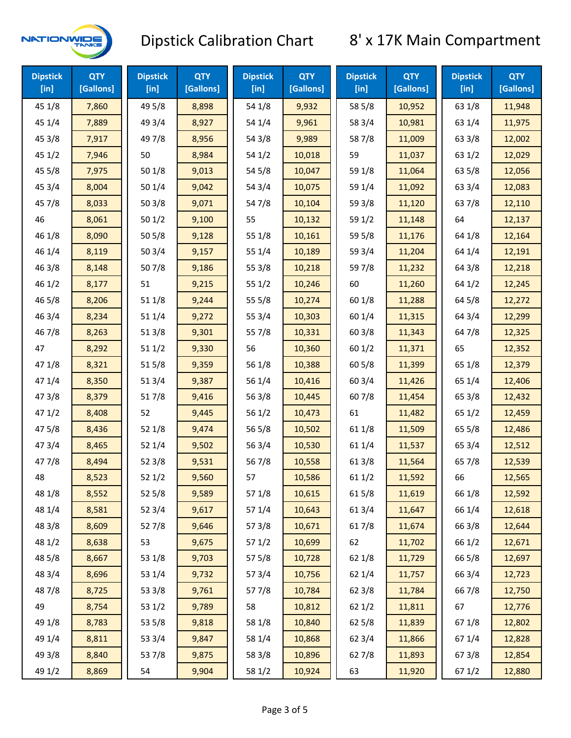

| <b>Dipstick</b><br>$[$ in] | <b>QTY</b><br>[Gallons] | <b>Dipstick</b><br>$[$ in] | <b>QTY</b><br>[Gallons] | <b>Dipstick</b><br>[in] | <b>QTY</b><br>[Gallons] | <b>Dipstick</b><br>$[$ in] | <b>QTY</b><br>[Gallons] | <b>Dipstick</b><br>[in] | <b>QTY</b><br>[Gallons] |
|----------------------------|-------------------------|----------------------------|-------------------------|-------------------------|-------------------------|----------------------------|-------------------------|-------------------------|-------------------------|
| 45 1/8                     | 7,860                   | 49 5/8                     | 8,898                   | 54 1/8                  | 9,932                   | 58 5/8                     | 10,952                  | 63 1/8                  | 11,948                  |
| 45 1/4                     | 7,889                   | 49 3/4                     | 8,927                   | 54 1/4                  | 9,961                   | 58 3/4                     | 10,981                  | 63 1/4                  | 11,975                  |
| 45 3/8                     | 7,917                   | 49 7/8                     | 8,956                   | 54 3/8                  | 9,989                   | 587/8                      | 11,009                  | 63 3/8                  | 12,002                  |
| 451/2                      | 7,946                   | 50                         | 8,984                   | 54 1/2                  | 10,018                  | 59                         | 11,037                  | 63 1/2                  | 12,029                  |
| 45 5/8                     | 7,975                   | 501/8                      | 9,013                   | 54 5/8                  | 10,047                  | 59 1/8                     | 11,064                  | 63 5/8                  | 12,056                  |
| 45 3/4                     | 8,004                   | 501/4                      | 9,042                   | 54 3/4                  | 10,075                  | 59 1/4                     | 11,092                  | 63 3/4                  | 12,083                  |
| 45 7/8                     | 8,033                   | 503/8                      | 9,071                   | 54 7/8                  | 10,104                  | 59 3/8                     | 11,120                  | 637/8                   | 12,110                  |
| 46                         | 8,061                   | 501/2                      | 9,100                   | 55                      | 10,132                  | 59 1/2                     | 11,148                  | 64                      | 12,137                  |
| 46 1/8                     | 8,090                   | 505/8                      | 9,128                   | 55 1/8                  | 10,161                  | 59 5/8                     | 11,176                  | 64 1/8                  | 12,164                  |
| 46 1/4                     | 8,119                   | 503/4                      | 9,157                   | 55 1/4                  | 10,189                  | 59 3/4                     | 11,204                  | 64 1/4                  | 12,191                  |
| 46 3/8                     | 8,148                   | 507/8                      | 9,186                   | 55 3/8                  | 10,218                  | 597/8                      | 11,232                  | 64 3/8                  | 12,218                  |
| 46 1/2                     | 8,177                   | 51                         | 9,215                   | 551/2                   | 10,246                  | 60                         | 11,260                  | 64 1/2                  | 12,245                  |
| 46 5/8                     | 8,206                   | 51 1/8                     | 9,244                   | 55 5/8                  | 10,274                  | 60 1/8                     | 11,288                  | 64 5/8                  | 12,272                  |
| 46 3/4                     | 8,234                   | 51 1/4                     | 9,272                   | 55 3/4                  | 10,303                  | 60 1/4                     | 11,315                  | 64 3/4                  | 12,299                  |
| 46 7/8                     | 8,263                   | 513/8                      | 9,301                   | 55 7/8                  | 10,331                  | 60 3/8                     | 11,343                  | 64 7/8                  | 12,325                  |
| 47                         | 8,292                   | 511/2                      | 9,330                   | 56                      | 10,360                  | 601/2                      | 11,371                  | 65                      | 12,352                  |
| 47 1/8                     | 8,321                   | 515/8                      | 9,359                   | 56 1/8                  | 10,388                  | 60 5/8                     | 11,399                  | 65 1/8                  | 12,379                  |
| 47 1/4                     | 8,350                   | 513/4                      | 9,387                   | 56 1/4                  | 10,416                  | 60 3/4                     | 11,426                  | 65 1/4                  | 12,406                  |
| 47 3/8                     | 8,379                   | 517/8                      | 9,416                   | 563/8                   | 10,445                  | 607/8                      | 11,454                  | 65 3/8                  | 12,432                  |
| 471/2                      | 8,408                   | 52                         | 9,445                   | 56 1/2                  | 10,473                  | 61                         | 11,482                  | 65 1/2                  | 12,459                  |
| 475/8                      | 8,436                   | 52 1/8                     | 9,474                   | 56 5/8                  | 10,502                  | 61 1/8                     | 11,509                  | 65 5/8                  | 12,486                  |
| 473/4                      | 8,465                   | 52 1/4                     | 9,502                   | 56 3/4                  | 10,530                  | 61 1/4                     | 11,537                  | 65 3/4                  | 12,512                  |
| 477/8                      | 8,494                   | 52 3/8                     | 9,531                   | 567/8                   | 10,558                  | 61 3/8                     | 11,564                  | 65 7/8                  | 12,539                  |
| 48                         | 8,523                   | 521/2                      | 9,560                   | 57                      | 10,586                  | 611/2                      | 11,592                  | 66                      | 12,565                  |
| 48 1/8                     | 8,552                   | 525/8                      | 9,589                   | 57 1/8                  | 10,615                  | 615/8                      | 11,619                  | 66 1/8                  | 12,592                  |
| 48 1/4                     | 8,581                   | 52 3/4                     | 9,617                   | 57 1/4                  | 10,643                  | 613/4                      | 11,647                  | 66 1/4                  | 12,618                  |
| 48 3/8                     | 8,609                   | 527/8                      | 9,646                   | 57 3/8                  | 10,671                  | 617/8                      | 11,674                  | 66 3/8                  | 12,644                  |
| 48 1/2                     | 8,638                   | 53                         | 9,675                   | 57 1/2                  | 10,699                  | 62                         | 11,702                  | 66 1/2                  | 12,671                  |
| 48 5/8                     | 8,667                   | 53 1/8                     | 9,703                   | 57 5/8                  | 10,728                  | 62 1/8                     | 11,729                  | 66 5/8                  | 12,697                  |
| 48 3/4                     | 8,696                   | 53 1/4                     | 9,732                   | 573/4                   | 10,756                  | 62 1/4                     | 11,757                  | 66 3/4                  | 12,723                  |
| 487/8                      | 8,725                   | 53 3/8                     | 9,761                   | 577/8                   | 10,784                  | 62 3/8                     | 11,784                  | 667/8                   | 12,750                  |
| 49                         | 8,754                   | 53 1/2                     | 9,789                   | 58                      | 10,812                  | 62 1/2                     | 11,811                  | 67                      | 12,776                  |
| 49 1/8                     | 8,783                   | 53 5/8                     | 9,818                   | 58 1/8                  | 10,840                  | 62 5/8                     | 11,839                  | 671/8                   | 12,802                  |
| 49 1/4                     | 8,811                   | 53 3/4                     | 9,847                   | 58 1/4                  | 10,868                  | 62 3/4                     | 11,866                  | 671/4                   | 12,828                  |
| 49 3/8                     | 8,840                   | 537/8                      | 9,875                   | 58 3/8                  | 10,896                  | 627/8                      | 11,893                  | 673/8                   | 12,854                  |
| 49 1/2                     | 8,869                   | 54                         | 9,904                   | 58 1/2                  | 10,924                  | 63                         | 11,920                  | 67 1/2                  | 12,880                  |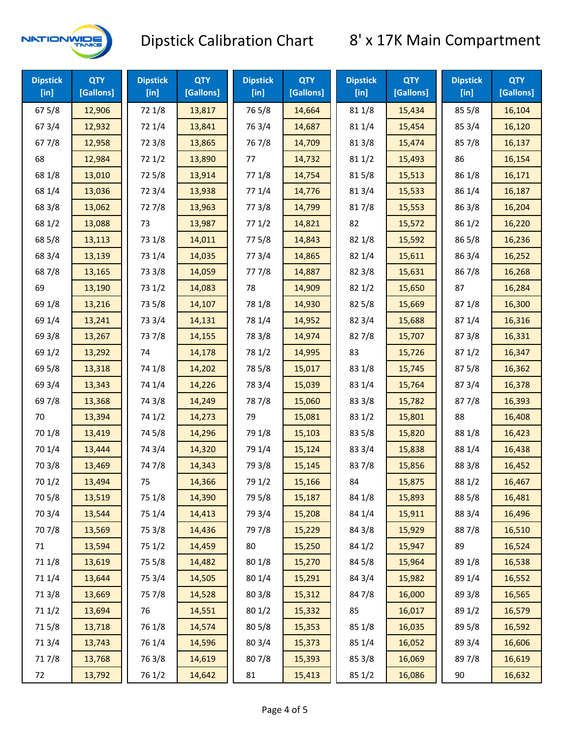

| <b>Dipstick</b><br>$[$ in] | <b>QTY</b><br>[Gallons] | <b>Dipstick</b><br>$[$ in] | <b>QTY</b><br>[Gallons] | <b>Dipstick</b><br>[in] | <b>QTY</b><br>[Gallons] | <b>Dipstick</b><br>$[$ in] | <b>QTY</b><br>[Gallons] | <b>Dipstick</b><br>$[$ in] | <b>QTY</b><br>[Gallons] |
|----------------------------|-------------------------|----------------------------|-------------------------|-------------------------|-------------------------|----------------------------|-------------------------|----------------------------|-------------------------|
| 67 5/8                     | 12,906                  | 72 1/8                     | 13,817                  | 765/8                   | 14,664                  | 81 1/8                     | 15,434                  | 855/8                      | 16,104                  |
| 67 3/4                     | 12,932                  | 72 1/4                     | 13,841                  | 763/4                   | 14,687                  | 81 1/4                     | 15,454                  | 85 3/4                     | 16,120                  |
| 677/8                      | 12,958                  | 72 3/8                     | 13,865                  | 767/8                   | 14,709                  | 81 3/8                     | 15,474                  | 857/8                      | 16,137                  |
| 68                         | 12,984                  | 721/2                      | 13,890                  | 77                      | 14,732                  | 81 1/2                     | 15,493                  | 86                         | 16,154                  |
| 68 1/8                     | 13,010                  | 725/8                      | 13,914                  | 77 1/8                  | 14,754                  | 815/8                      | 15,513                  | 86 1/8                     | 16,171                  |
| 68 1/4                     | 13,036                  | 72 3/4                     | 13,938                  | 77 1/4                  | 14,776                  | 813/4                      | 15,533                  | 86 1/4                     | 16,187                  |
| 68 3/8                     | 13,062                  | 727/8                      | 13,963                  | 77 3/8                  | 14,799                  | 817/8                      | 15,553                  | 86 3/8                     | 16,204                  |
| 68 1/2                     | 13,088                  | 73                         | 13,987                  | 771/2                   | 14,821                  | 82                         | 15,572                  | 86 1/2                     | 16,220                  |
| 68 5/8                     | 13,113                  | 73 1/8                     | 14,011                  | 775/8                   | 14,843                  | 82 1/8                     | 15,592                  | 86 5/8                     | 16,236                  |
| 68 3/4                     | 13,139                  | 73 1/4                     | 14,035                  | 773/4                   | 14,865                  | 82 1/4                     | 15,611                  | 86 3/4                     | 16,252                  |
| 687/8                      | 13,165                  | 73 3/8                     | 14,059                  | 777/8                   | 14,887                  | 82 3/8                     | 15,631                  | 867/8                      | 16,268                  |
| 69                         | 13,190                  | 73 1/2                     | 14,083                  | 78                      | 14,909                  | 821/2                      | 15,650                  | 87                         | 16,284                  |
| 69 1/8                     | 13,216                  | 73 5/8                     | 14,107                  | 78 1/8                  | 14,930                  | 82 5/8                     | 15,669                  | 871/8                      | 16,300                  |
| 69 1/4                     | 13,241                  | 73 3/4                     | 14,131                  | 78 1/4                  | 14,952                  | 82 3/4                     | 15,688                  | 87 1/4                     | 16,316                  |
| 69 3/8                     | 13,267                  | 737/8                      | 14,155                  | 78 3/8                  | 14,974                  | 827/8                      | 15,707                  | 87 3/8                     | 16,331                  |
| 69 1/2                     | 13,292                  | 74                         | 14,178                  | 78 1/2                  | 14,995                  | 83                         | 15,726                  | 871/2                      | 16,347                  |
| 69 5/8                     | 13,318                  | 74 1/8                     | 14,202                  | 78 5/8                  | 15,017                  | 83 1/8                     | 15,745                  | 87 5/8                     | 16,362                  |
| 69 3/4                     | 13,343                  | 74 1/4                     | 14,226                  | 78 3/4                  | 15,039                  | 83 1/4                     | 15,764                  | 87 3/4                     | 16,378                  |
| 697/8                      | 13,368                  | 74 3/8                     | 14,249                  | 787/8                   | 15,060                  | 83 3/8                     | 15,782                  | 877/8                      | 16,393                  |
| 70                         | 13,394                  | 74 1/2                     | 14,273                  | 79                      | 15,081                  | 83 1/2                     | 15,801                  | 88                         | 16,408                  |
| 70 1/8                     | 13,419                  | 74 5/8                     | 14,296                  | 79 1/8                  | 15,103                  | 83 5/8                     | 15,820                  | 88 1/8                     | 16,423                  |
| 70 1/4                     | 13,444                  | 74 3/4                     | 14,320                  | 79 1/4                  | 15,124                  | 83 3/4                     | 15,838                  | 88 1/4                     | 16,438                  |
| 70 3/8                     | 13,469                  | 747/8                      | 14,343                  | 79 3/8                  | 15,145                  | 837/8                      | 15,856                  | 88 3/8                     | 16,452                  |
| 70 1/2                     | 13,494                  | 75                         | 14,366                  | 79 1/2                  | 15,166                  | 84                         | 15,875                  | 88 1/2                     | 16,467                  |
| 70 5/8                     | 13,519                  | 75 1/8                     | 14,390                  | 79 5/8                  | 15,187                  | 84 1/8                     | 15,893                  | 88 5/8                     | 16,481                  |
| 70 3/4                     | 13,544                  | 75 1/4                     | 14,413                  | 79 3/4                  | 15,208                  | 84 1/4                     | 15,911                  | 88 3/4                     | 16,496                  |
| 70 7/8                     | 13,569                  | 75 3/8                     | 14,436                  | 79 7/8                  | 15,229                  | 84 3/8                     | 15,929                  | 887/8                      | 16,510                  |
| 71                         | 13,594                  | 75 1/2                     | 14,459                  | 80                      | 15,250                  | 84 1/2                     | 15,947                  | 89                         | 16,524                  |
| 71 1/8                     | 13,619                  | 75 5/8                     | 14,482                  | 80 1/8                  | 15,270                  | 84 5/8                     | 15,964                  | 89 1/8                     | 16,538                  |
| 711/4                      | 13,644                  | 75 3/4                     | 14,505                  | 80 1/4                  | 15,291                  | 84 3/4                     | 15,982                  | 89 1/4                     | 16,552                  |
| 713/8                      | 13,669                  | 75 7/8                     | 14,528                  | 80 3/8                  | 15,312                  | 847/8                      | 16,000                  | 89 3/8                     | 16,565                  |
| 71 1/2                     | 13,694                  | 76                         | 14,551                  | 80 1/2                  | 15,332                  | 85                         | 16,017                  | 89 1/2                     | 16,579                  |
| 715/8                      | 13,718                  | 76 1/8                     | 14,574                  | 80 5/8                  | 15,353                  | 85 1/8                     | 16,035                  | 89 5/8                     | 16,592                  |
| 713/4                      | 13,743                  | 76 1/4                     | 14,596                  | 80 3/4                  | 15,373                  | 85 1/4                     | 16,052                  | 89 3/4                     | 16,606                  |
| 717/8                      | 13,768                  | 763/8                      | 14,619                  | 807/8                   | 15,393                  | 85 3/8                     | 16,069                  | 897/8                      | 16,619                  |
| 72                         | 13,792                  | 76 1/2                     | 14,642                  | 81                      | 15,413                  | 85 1/2                     | 16,086                  | 90                         | 16,632                  |